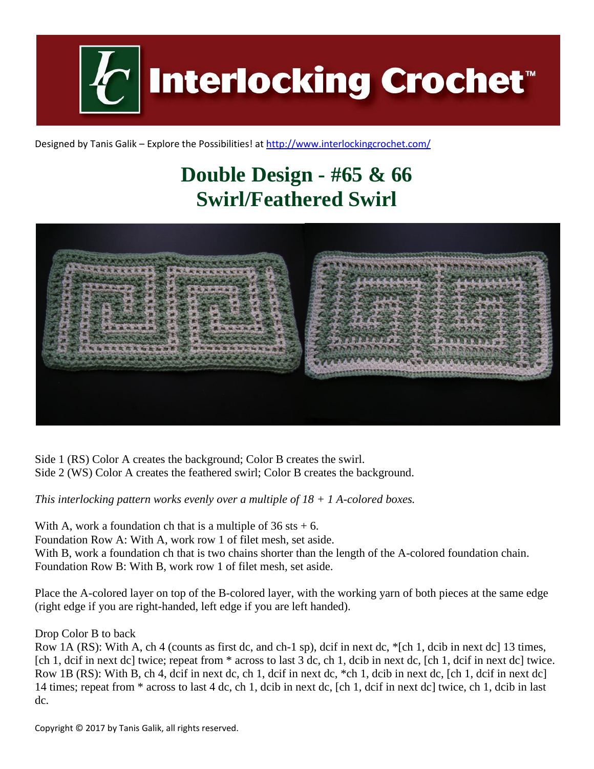

Designed by Tanis Galik – Explore the Possibilities! a[t http://www.interlockingcrochet.com/](http://www.interlockingcrochet.com/)

## **Double Design - #65 & 66 Swirl/Feathered Swirl**



Side 1 (RS) Color A creates the background; Color B creates the swirl. Side 2 (WS) Color A creates the feathered swirl; Color B creates the background.

*This interlocking pattern works evenly over a multiple of 18 + 1 A-colored boxes.*

With A, work a foundation ch that is a multiple of  $36$  sts  $+ 6$ . Foundation Row A: With A, work row 1 of filet mesh, set aside. With B, work a foundation ch that is two chains shorter than the length of the A-colored foundation chain. Foundation Row B: With B, work row 1 of filet mesh, set aside.

Place the A-colored layer on top of the B-colored layer, with the working yarn of both pieces at the same edge (right edge if you are right-handed, left edge if you are left handed).

Drop Color B to back

Row 1A (RS): With A, ch 4 (counts as first dc, and ch-1 sp), dcif in next dc, \*[ch 1, dcib in next dc] 13 times, [ch 1, dcif in next dc] twice; repeat from \* across to last 3 dc, ch 1, dcib in next dc, [ch 1, dcif in next dc] twice. Row 1B (RS): With B, ch 4, dcif in next dc, ch 1, dcif in next dc, \*ch 1, dcib in next dc, [ch 1, dcif in next dc] 14 times; repeat from \* across to last 4 dc, ch 1, dcib in next dc, [ch 1, dcif in next dc] twice, ch 1, dcib in last dc.

Copyright © 2017 by Tanis Galik, all rights reserved.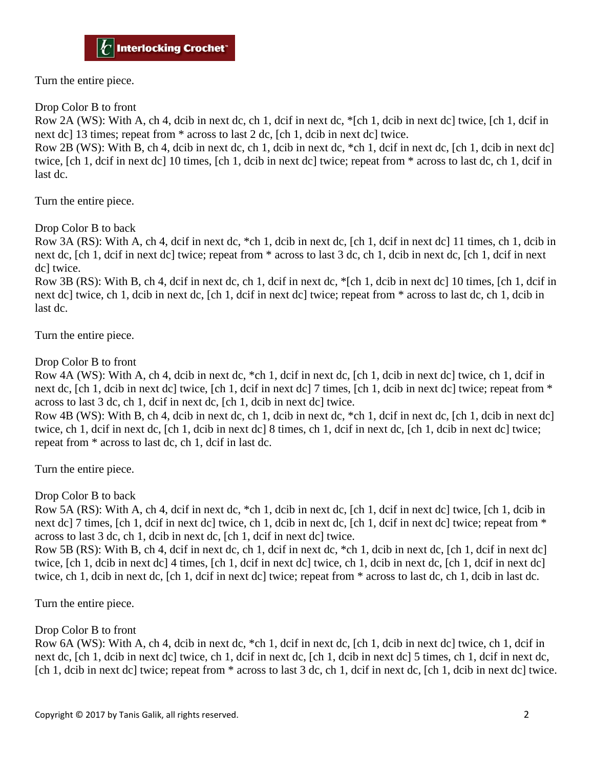Turn the entire piece.

Drop Color B to front

Row 2A (WS): With A, ch 4, dcib in next dc, ch 1, dcif in next dc, \*[ch 1, dcib in next dc] twice, [ch 1, dcif in next dc] 13 times; repeat from \* across to last 2 dc, [ch 1, dcib in next dc] twice.

Row 2B (WS): With B, ch 4, dcib in next dc, ch 1, dcib in next dc, \*ch 1, dcif in next dc, [ch 1, dcib in next dc] twice, [ch 1, dcif in next dc] 10 times, [ch 1, dcib in next dc] twice; repeat from \* across to last dc, ch 1, dcif in last dc.

Turn the entire piece.

Drop Color B to back

Row 3A (RS): With A, ch 4, dcif in next dc, \*ch 1, dcib in next dc, [ch 1, dcif in next dc] 11 times, ch 1, dcib in next dc, [ch 1, dcif in next dc] twice; repeat from \* across to last 3 dc, ch 1, dcib in next dc, [ch 1, dcif in next dc] twice.

Row 3B (RS): With B, ch 4, dcif in next dc, ch 1, dcif in next dc, \*[ch 1, dcib in next dc] 10 times, [ch 1, dcif in next dc] twice, ch 1, dcib in next dc, [ch 1, dcif in next dc] twice; repeat from \* across to last dc, ch 1, dcib in last dc.

Turn the entire piece.

Drop Color B to front

Row 4A (WS): With A, ch 4, dcib in next dc, \*ch 1, dcif in next dc, [ch 1, dcib in next dc] twice, ch 1, dcif in next dc, [ch 1, dcib in next dc] twice, [ch 1, dcif in next dc] 7 times, [ch 1, dcib in next dc] twice; repeat from \* across to last 3 dc, ch 1, dcif in next dc, [ch 1, dcib in next dc] twice.

Row 4B (WS): With B, ch 4, dcib in next dc, ch 1, dcib in next dc, \*ch 1, dcif in next dc, [ch 1, dcib in next dc] twice, ch 1, dcif in next dc, [ch 1, dcib in next dc] 8 times, ch 1, dcif in next dc, [ch 1, dcib in next dc] twice; repeat from \* across to last dc, ch 1, dcif in last dc.

Turn the entire piece.

Drop Color B to back

Row 5A (RS): With A, ch 4, dcif in next dc, \*ch 1, dcib in next dc, [ch 1, dcif in next dc] twice, [ch 1, dcib in next dc] 7 times, [ch 1, dcif in next dc] twice, ch 1, dcib in next dc, [ch 1, dcif in next dc] twice; repeat from \* across to last 3 dc, ch 1, dcib in next dc, [ch 1, dcif in next dc] twice.

Row 5B (RS): With B, ch 4, dcif in next dc, ch 1, dcif in next dc, \*ch 1, dcib in next dc, [ch 1, dcif in next dc] twice, [ch 1, dcib in next dc] 4 times, [ch 1, dcif in next dc] twice, ch 1, dcib in next dc, [ch 1, dcif in next dc] twice, ch 1, dcib in next dc, [ch 1, dcif in next dc] twice; repeat from \* across to last dc, ch 1, dcib in last dc.

Turn the entire piece.

Drop Color B to front

Row 6A (WS): With A, ch 4, dcib in next dc, \*ch 1, dcif in next dc, [ch 1, dcib in next dc] twice, ch 1, dcif in next dc, [ch 1, dcib in next dc] twice, ch 1, dcif in next dc, [ch 1, dcib in next dc] 5 times, ch 1, dcif in next dc, [ch 1, dcib in next dc] twice; repeat from  $*$  across to last 3 dc, ch 1, dcif in next dc, [ch 1, dcib in next dc] twice.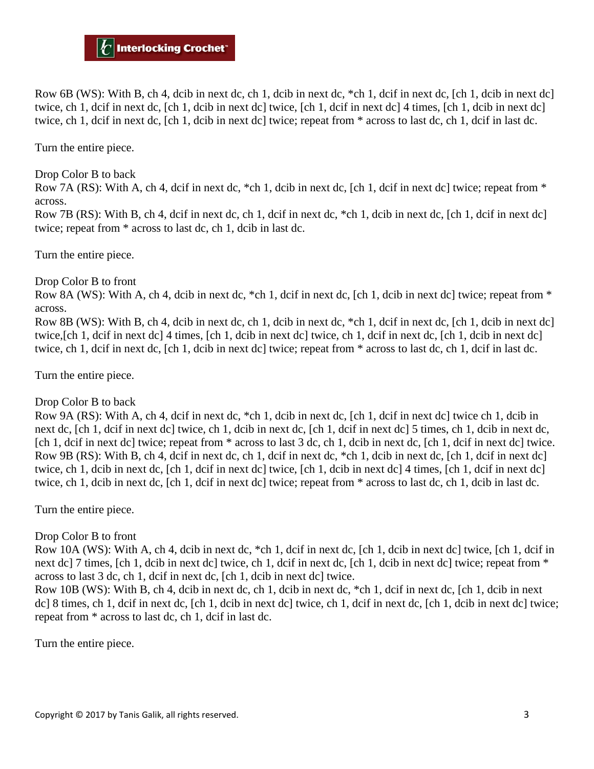Row 6B (WS): With B, ch 4, dcib in next dc, ch 1, dcib in next dc, \*ch 1, dcif in next dc, [ch 1, dcib in next dc] twice, ch 1, dcif in next dc, [ch 1, dcib in next dc] twice, [ch 1, dcif in next dc] 4 times, [ch 1, dcib in next dc] twice, ch 1, dcif in next dc, [ch 1, dcib in next dc] twice; repeat from \* across to last dc, ch 1, dcif in last dc.

Turn the entire piece.

Drop Color B to back

Row 7A (RS): With A, ch 4, dcif in next dc,  $*$ ch 1, dcib in next dc, [ch 1, dcif in next dc] twice; repeat from  $*$ across.

Row 7B (RS): With B, ch 4, dcif in next dc, ch 1, dcif in next dc, \*ch 1, dcib in next dc, [ch 1, dcif in next dc] twice; repeat from \* across to last dc, ch 1, dcib in last dc.

Turn the entire piece.

Drop Color B to front

Row 8A (WS): With A, ch 4, dcib in next dc,  $*$ ch 1, dcif in next dc,  $[ch 1, deib in next del twice; repeat from  $*$$ across.

Row 8B (WS): With B, ch 4, dcib in next dc, ch 1, dcib in next dc, \*ch 1, dcif in next dc, [ch 1, dcib in next dc] twice,[ch 1, dcif in next dc] 4 times, [ch 1, dcib in next dc] twice, ch 1, dcif in next dc, [ch 1, dcib in next dc] twice, ch 1, dcif in next dc, [ch 1, dcib in next dc] twice; repeat from \* across to last dc, ch 1, dcif in last dc.

Turn the entire piece.

Drop Color B to back

Row 9A (RS): With A, ch 4, dcif in next dc, \*ch 1, dcib in next dc, [ch 1, dcif in next dc] twice ch 1, dcib in next dc, [ch 1, dcif in next dc] twice, ch 1, dcib in next dc, [ch 1, dcif in next dc] 5 times, ch 1, dcib in next dc, [ch 1, dcif in next dc] twice; repeat from \* across to last 3 dc, ch 1, dcib in next dc, [ch 1, dcif in next dc] twice. Row 9B (RS): With B, ch 4, dcif in next dc, ch 1, dcif in next dc, \*ch 1, dcib in next dc, [ch 1, dcif in next dc] twice, ch 1, dcib in next dc, [ch 1, dcif in next dc] twice, [ch 1, dcib in next dc] 4 times, [ch 1, dcif in next dc] twice, ch 1, dcib in next dc, [ch 1, dcif in next dc] twice; repeat from \* across to last dc, ch 1, dcib in last dc.

Turn the entire piece.

## Drop Color B to front

Row 10A (WS): With A, ch 4, dcib in next dc, \*ch 1, dcif in next dc, [ch 1, dcib in next dc] twice, [ch 1, dcif in next dc] 7 times, [ch 1, dcib in next dc] twice, ch 1, dcif in next dc, [ch 1, dcib in next dc] twice; repeat from \* across to last 3 dc, ch 1, dcif in next dc, [ch 1, dcib in next dc] twice.

Row 10B (WS): With B, ch 4, dcib in next dc, ch 1, dcib in next dc, \*ch 1, dcif in next dc, [ch 1, dcib in next dc] 8 times, ch 1, dcif in next dc, [ch 1, dcib in next dc] twice, ch 1, dcif in next dc, [ch 1, dcib in next dc] twice; repeat from \* across to last dc, ch 1, dcif in last dc.

Turn the entire piece.